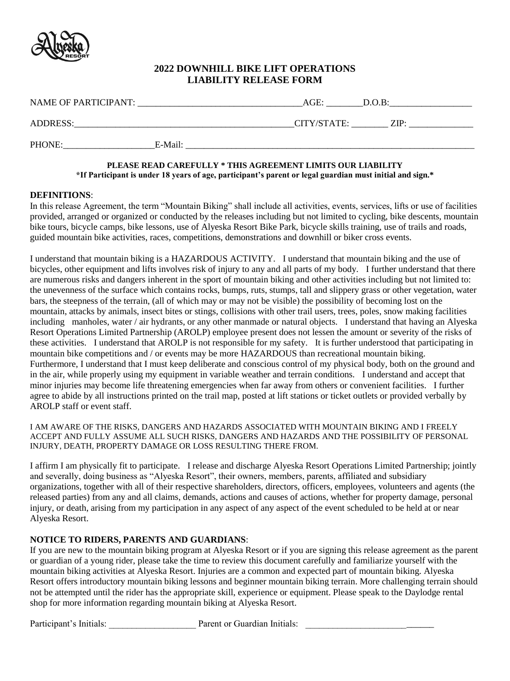

# **2022 DOWNHILL BIKE LIFT OPERATIONS LIABILITY RELEASE FORM**

| <b>NAME OF PARTICIPANT:</b> |         | AGE:                                                                       | $D.O.B$ : |
|-----------------------------|---------|----------------------------------------------------------------------------|-----------|
| ADDRESS:                    |         | CITY/STATE:                                                                | ZIP·      |
| PHONE:                      | E-Mail: |                                                                            |           |
|                             |         | DI E A CE DE A DI CA DEEIII I V * THIC A CDEEMENT I IMITC AIID I IADII ITV |           |

#### **PLEASE READ CAREFULLY \* THIS AGREEMENT LIMITS OUR LIABILITY \*If Participant is under 18 years of age, participant's parent or legal guardian must initial and sign.\***

### **DEFINITIONS**:

In this release Agreement, the term "Mountain Biking" shall include all activities, events, services, lifts or use of facilities provided, arranged or organized or conducted by the releases including but not limited to cycling, bike descents, mountain bike tours, bicycle camps, bike lessons, use of Alyeska Resort Bike Park, bicycle skills training, use of trails and roads, guided mountain bike activities, races, competitions, demonstrations and downhill or biker cross events.

I understand that mountain biking is a HAZARDOUS ACTIVITY. I understand that mountain biking and the use of bicycles, other equipment and lifts involves risk of injury to any and all parts of my body. I further understand that there are numerous risks and dangers inherent in the sport of mountain biking and other activities including but not limited to: the unevenness of the surface which contains rocks, bumps, ruts, stumps, tall and slippery grass or other vegetation, water bars, the steepness of the terrain, (all of which may or may not be visible) the possibility of becoming lost on the mountain, attacks by animals, insect bites or stings, collisions with other trail users, trees, poles, snow making facilities including manholes, water / air hydrants, or any other manmade or natural objects. I understand that having an Alyeska Resort Operations Limited Partnership (AROLP) employee present does not lessen the amount or severity of the risks of these activities. I understand that AROLP is not responsible for my safety. It is further understood that participating in mountain bike competitions and / or events may be more HAZARDOUS than recreational mountain biking. Furthermore, I understand that I must keep deliberate and conscious control of my physical body, both on the ground and in the air, while properly using my equipment in variable weather and terrain conditions. I understand and accept that minor injuries may become life threatening emergencies when far away from others or convenient facilities. I further agree to abide by all instructions printed on the trail map, posted at lift stations or ticket outlets or provided verbally by AROLP staff or event staff.

I AM AWARE OF THE RISKS, DANGERS AND HAZARDS ASSOCIATED WITH MOUNTAIN BIKING AND I FREELY ACCEPT AND FULLY ASSUME ALL SUCH RISKS, DANGERS AND HAZARDS AND THE POSSIBILITY OF PERSONAL INJURY, DEATH, PROPERTY DAMAGE OR LOSS RESULTING THERE FROM.

I affirm I am physically fit to participate. I release and discharge Alyeska Resort Operations Limited Partnership; jointly and severally, doing business as "Alyeska Resort", their owners, members, parents, affiliated and subsidiary organizations, together with all of their respective shareholders, directors, officers, employees, volunteers and agents (the released parties) from any and all claims, demands, actions and causes of actions, whether for property damage, personal injury, or death, arising from my participation in any aspect of any aspect of the event scheduled to be held at or near Alyeska Resort.

# **NOTICE TO RIDERS, PARENTS AND GUARDIANS**:

If you are new to the mountain biking program at Alyeska Resort or if you are signing this release agreement as the parent or guardian of a young rider, please take the time to review this document carefully and familiarize yourself with the mountain biking activities at Alyeska Resort. Injuries are a common and expected part of mountain biking. Alyeska Resort offers introductory mountain biking lessons and beginner mountain biking terrain. More challenging terrain should not be attempted until the rider has the appropriate skill, experience or equipment. Please speak to the Daylodge rental shop for more information regarding mountain biking at Alyeska Resort.